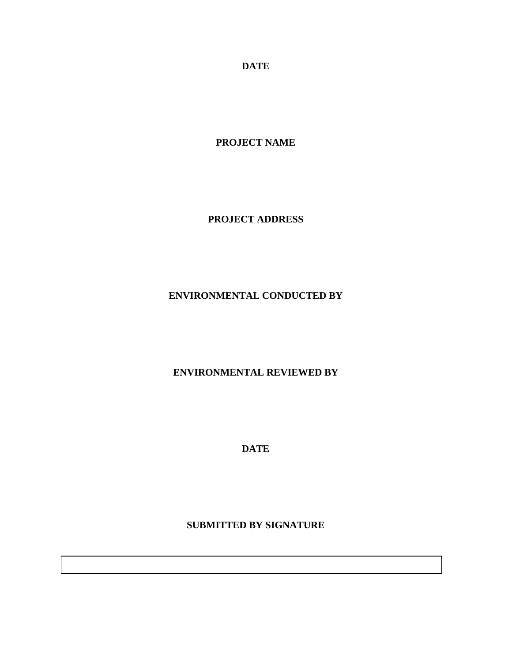**DATE**

**PROJECT NAME**

**PROJECT ADDRESS**

## **ENVIRONMENTAL CONDUCTED BY**

### **ENVIRONMENTAL REVIEWED BY**

**DATE**

**SUBMITTED BY SIGNATURE**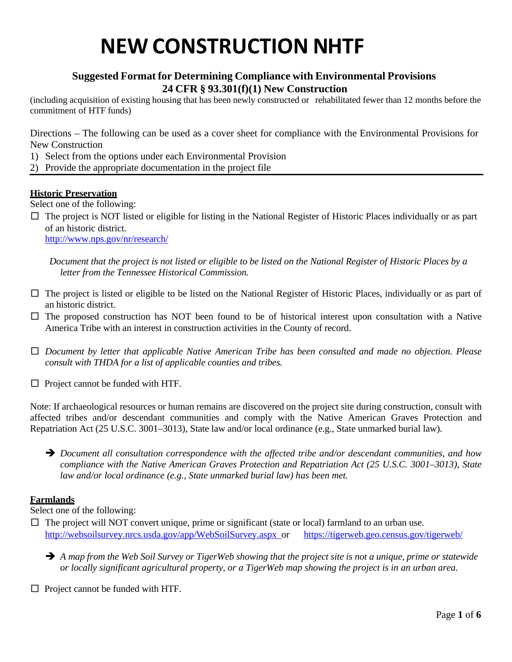## **Suggested Format for Determining Compliance with Environmental Provisions 24 CFR § 93.301(f)(1) New Construction**

(including acquisition of existing housing that has been newly constructed or rehabilitated fewer than 12 months before the commitment of HTF funds)

Directions – The following can be used as a cover sheet for compliance with the Environmental Provisions for New Construction

- 1) Select from the options under each Environmental Provision
- 2) Provide the appropriate documentation in the project file

#### **Historic Preservation**

Select one of the following:

 $\Box$  The project is NOT listed or eligible for listing in the National Register of Historic Places individually or as part of an historic district.

<http://www.nps.gov/nr/research/>

Document that the project is not listed or eligible to be listed on the National Register of Historic Places by a *letter from the Tennessee Historical Commission.*

- $\Box$  The project is listed or eligible to be listed on the National Register of Historic Places, individually or as part of an historic district.
- $\square$  The proposed construction has NOT been found to be of historical interest upon consultation with a Native America Tribe with an interest in construction activities in the County of record.
- □ *Document by letter that applicable Native American Tribe has been consulted and made no objection. Please consult with THDA for a list of applicable counties and tribes.*
- $\Box$  Project cannot be funded with HTF.

Note: If archaeological resources or human remains are discovered on the project site during construction, consult with affected tribes and/or descendant communities and comply with the Native American Graves Protection and Repatriation Act (25 U.S.C. 3001–3013), State law and/or local ordinance (e.g., State unmarked burial law).

 *Document all consultation correspondence with the affected tribe and/or descendant communities, and how compliance with the Native American Graves Protection and Repatriation Act (25 U.S.C. 3001–3013), State law and/or local ordinance (e.g., State unmarked burial law) has been met.*

#### **Farmlands**

Select one of the following:

 $\Box$  The project will NOT convert unique, prime or significant (state or local) farmland to an urban use. <http://websoilsurvey.nrcs.usda.gov/app/WebSoilSurvey.aspx> or <https://tigerweb.geo.census.gov/tigerweb/>

 $\rightarrow$  A map from the Web Soil Survey or TigerWeb showing that the project site is not a unique, prime or statewide *or locally significant agricultural property, or a TigerWeb map showing the project is in an urban area.*

 $\Box$  Project cannot be funded with HTF.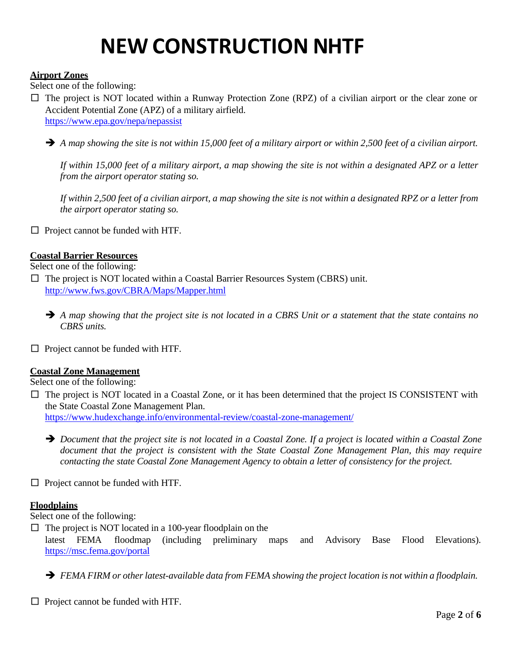#### **Airport Zones**

Select one of the following:

□ The project is NOT located within a Runway Protection Zone (RPZ) of a civilian airport or the clear zone or Accident Potential Zone (APZ) of a military airfield. <https://www.epa.gov/nepa/nepassist>

 $\rightarrow$  A map showing the site is not within 15,000 feet of a military airport or within 2,500 feet of a civilian airport.

If within 15,000 feet of a military airport, a map showing the site is not within a designated APZ or a letter *from the airport operator stating so.*

If within 2,500 feet of a civilian airport, a map showing the site is not within a designated RPZ or a letter from *the airport operator stating so.*

 $\Box$  Project cannot be funded with HTF.

#### **Coastal Barrier Resources**

Select one of the following:

□ The project is NOT located within a Coastal Barrier Resources System (CBRS) unit. <http://www.fws.gov/CBRA/Maps/Mapper.html>

- $\rightarrow$  A map showing that the project site is not located in a CBRS Unit or a statement that the state contains no *CBRS units.*
- $\Box$  Project cannot be funded with HTF.

#### **Coastal Zone Management**

Select one of the following:

- $\square$  The project is NOT located in a Coastal Zone, or it has been determined that the project IS CONSISTENT with the State Coastal Zone Management Plan. <https://www.hudexchange.info/environmental-review/coastal-zone-management/>
	- $\rightarrow$  Document that the project site is not located in a Coastal Zone. If a project is located within a Coastal Zone *document that the project is consistent with the State Coastal Zone Management Plan, this may require contacting the state Coastal Zone Management Agency to obtain a letter of consistency for the project.*
- $\Box$  Project cannot be funded with HTF.

#### **Floodplains**

Select one of the following:

 $\Box$  The project is NOT located in a 100-year floodplain on the

latest FEMA floodmap (including preliminary maps and Advisory Base Flood Elevations). <https://msc.fema.gov/portal>

*FEMA FIRM or otherlatest-available data from FEMA showing the project location is not within a floodplain.*

 $\Box$  Project cannot be funded with HTF.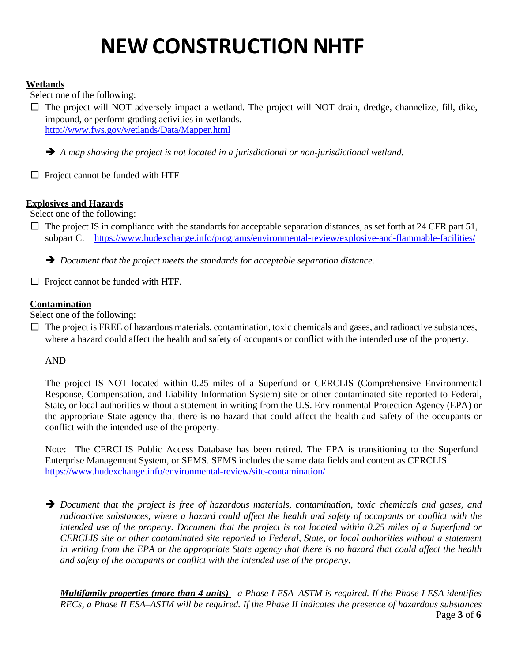### **Wetlands**

Select one of the following:

 $\Box$  The project will NOT adversely impact a wetland. The project will NOT drain, dredge, channelize, fill, dike, impound, or perform grading activities in wetlands. <http://www.fws.gov/wetlands/Data/Mapper.html>

*A map showing the project is not located in a jurisdictional or non-jurisdictional wetland.*

 $\Box$  Project cannot be funded with HTF

### **Explosives and Hazards**

Select one of the following:

 $\Box$  The project IS in compliance with the standards for acceptable separation distances, as set forth at 24 CFR part 51, subpart C. <https://www.hudexchange.info/programs/environmental-review/explosive-and-flammable-facilities/>

*Document that the project meets the standards for acceptable separation distance.*

 $\Box$  Project cannot be funded with HTF.

### **Contamination**

Select one of the following:

 $\Box$  The project is FREE of hazardous materials, contamination, toxic chemicals and gases, and radioactive substances, where a hazard could affect the health and safety of occupants or conflict with the intended use of the property.

### AND

The project IS NOT located within 0.25 miles of a Superfund or CERCLIS (Comprehensive Environmental Response, Compensation, and Liability Information System) site or other contaminated site reported to Federal, State, or local authorities without a statement in writing from the U.S. Environmental Protection Agency (EPA) or the appropriate State agency that there is no hazard that could affect the health and safety of the occupants or conflict with the intended use of the property.

Note: The CERCLIS Public Access Database has been retired. The EPA is transitioning to the Superfund Enterprise Management System, or SEMS. SEMS includes the same data fields and content as CERCLIS. <https://www.hudexchange.info/environmental-review/site-contamination/>

 *Document that the project is free of hazardous materials, contamination, toxic chemicals and gases, and* radioactive substances, where a hazard could affect the health and safety of occupants or conflict with the intended use of the property. Document that the project is not located within 0.25 miles of a Superfund or *CERCLIS site or other contaminated site reported to Federal, State, or local authorities without a statement* in writing from the EPA or the appropriate State agency that there is no hazard that could affect the health *and safety of the occupants or conflict with the intended use of the property.*

Page **3** of **6 Multifamily properties (more than 4 units)** - a Phase I ESA-ASTM is required. If the Phase I ESA identifies *RECs, a Phase II ESA–ASTM will be required. If the Phase II indicates the presence of hazardous substances*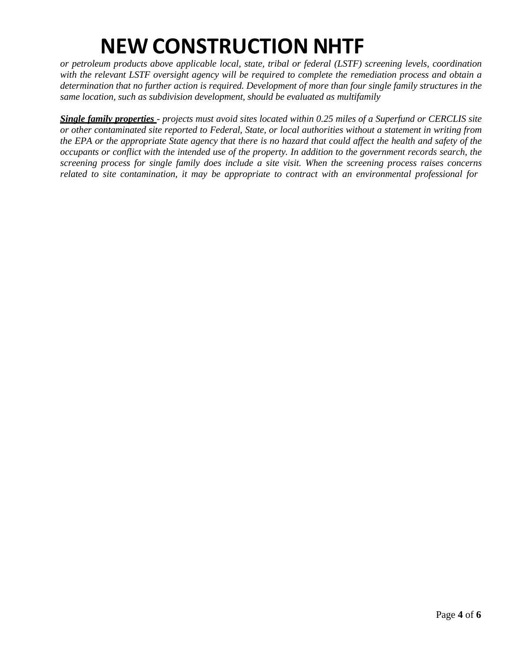*or petroleum products above applicable local, state, tribal or federal (LSTF) screening levels, coordination with the relevant LSTF oversight agency will be required to complete the remediation process and obtain a* determination that no further action is required. Development of more than four single family structures in the *same location, such as subdivision development, should be evaluated as multifamily*

Single family properties - projects must avoid sites located within 0.25 miles of a Superfund or CERCLIS site *or other contaminated site reported to Federal, State, or local authorities without a statement in writing from* the EPA or the appropriate State agency that there is no hazard that could affect the health and safety of the *occupants or conflict with the intended use of the property. In addition to the government records search, the screening process for single family does include a site visit. When the screening process raises concerns related to site contamination, it may be appropriate to contract with an environmental professional for*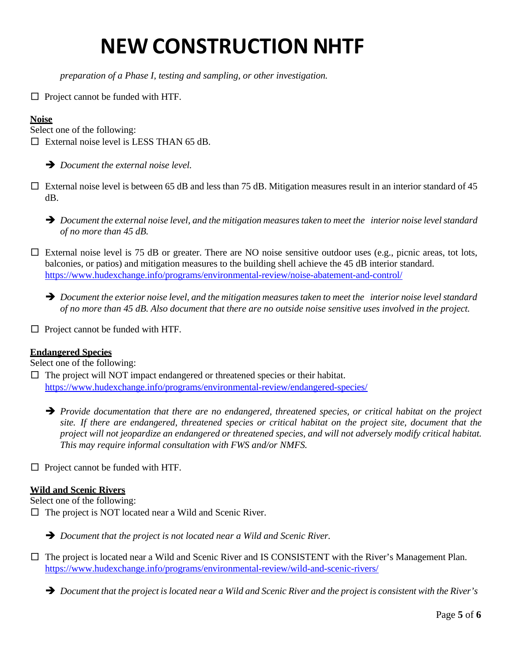*preparation of a Phase I, testing and sampling, or other investigation.*

□ Project cannot be funded with HTF.

## **Noise**

Select one of the following:

 $\Box$  External noise level is LESS THAN 65 dB.

*Document the external noise level.*

 $\Box$  External noise level is between 65 dB and less than 75 dB. Mitigation measures result in an interior standard of 45 dB.

 $\rightarrow$  Document the external noise level, and the mitigation measures taken to meet the interior noise level standard *of no more than 45 dB.*

 $\square$  External noise level is 75 dB or greater. There are NO noise sensitive outdoor uses (e.g., picnic areas, tot lots, balconies, or patios) and mitigation measures to the building shell achieve the 45 dB interior standard. <https://www.hudexchange.info/programs/environmental-review/noise-abatement-and-control/>

 $\rightarrow$  Document the exterior noise level, and the mitigation measures taken to meet the interior noise level standard *of no more than 45 dB. Also document that there are no outside noise sensitive uses involved in the project.*

 $\Box$  Project cannot be funded with HTF.

#### **Endangered Species**

Select one of the following:

□ The project will NOT impact endangered or threatened species or their habitat. <https://www.hudexchange.info/programs/environmental-review/endangered-species/>

 *Provide documentation that there are no endangered, threatened species, or critical habitat on the project* site. If there are endangered, threatened species or critical habitat on the project site, document that the *project will not jeopardize an endangered or threatened species, and will not adversely modify critical habitat. This may require informal consultation with FWS and/or NMFS.*

 $\Box$  Project cannot be funded with HTF.

### **Wild and Scenic Rivers**

Select one of the following:

 $\Box$  The project is NOT located near a Wild and Scenic River.

*Document that the project is not located near a Wild and Scenic River.*

 $\Box$  The project is located near a Wild and Scenic River and IS CONSISTENT with the River's Management Plan. <https://www.hudexchange.info/programs/environmental-review/wild-and-scenic-rivers/>

 $\rightarrow$  Document that the project is located near a Wild and Scenic River and the project is consistent with the River's